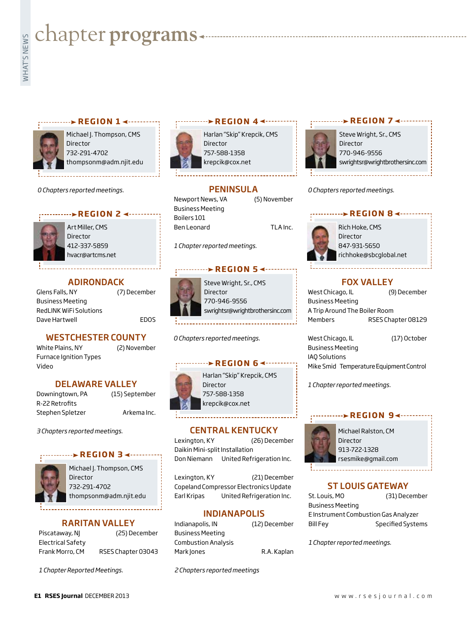# **Exampler programs**<br>Example:

#### **REGION 1 ∢ - - - - - - - - -**



Michael J. Thompson, CMS Director 732-291-4702 thompsonm@adm.njit.edu

*0 Chapters reported meetings.*

#### **REGION 2 4 ------**



Art Miller, CMS **Director** 412-337-5859 hvacr@artcms.net

#### ADIRONDACK

Glens Falls, NY (7) December Business Meeting RedLINK WiFi Solutions Dave Hartwell **EDOS** 

#### WESTCHESTER COUNTY

White Plains, NY (2) November Furnace Ignition Types Video

#### DELAWARE VALLEY

Downingtown, PA (15) September R-22 Retrofits Stephen Spletzer **Arkema Inc.** 

*3 Chapters reported meetings.*



Michael J. Thompson, CMS **Director** 732-291-4702 thompsonm@adm.njit.edu

**REGION 3 ∢ --------**

#### RARITAN VALLEY

| Piscataway, NJ    |  |
|-------------------|--|
| Electrical Safety |  |
| Frank Morro, CM   |  |

(25) December RSES Chapter 03043

*1 Chapter Reported Meetings.*

#### **REGION 4**

Harlan "Skip" Krepcik, CMS Director 757-588-1358 krepcik@cox.net



Steve Wright, Sr., CMS Director 770-946-9556 swrightsr@wrightbrothersinc.com

**REGION 7**

**PENINSULA** 

Newport News, VA (5) November Business Meeting Boilers 101 Ben Leonard TLA Inc.

*1 Chapter reported meetings.*

#### ········▶REGION 5 **<**··········

Steve Wright, Sr., CMS Director 770-946-9556 swrightsr@wrightbrothersinc.com

*0 Chapters reported meetings.*

#### **REGION 6 <-----**



Harlan "Skip" Krepcik, CMS Director 757-588-1358 krepcik@cox.net

#### CENTRAL KENTUCKY

Lexington, KY (26) December Daikin Mini-split Installation Don Niemann United Refrigeration Inc.

Lexington, KY (21) December Copeland Compressor Electronics Update Earl Kripas United Refrigeration Inc.

#### INDIANAPOLIS

| Indianapolis, IN           | (12) December |
|----------------------------|---------------|
| Business Meeting           |               |
| <b>Combustion Analysis</b> |               |
| Mark Jones                 | R.A. Kaplan   |

*2 Chapters reported meetings* 

*0 Chapters reported meetings.*

### Rich Hoke, CMS **REGION 8 <-----**



Director 847-931-5650 richhoke@sbcglobal.net

#### FOX VALLEY

West Chicago, IL (9) December Business Meeting A Trip Around The Boiler Room Members RSES Chapter 08129

West Chicago, IL (17) October Business Meeting IAQ Solutions Mike Smid Temperature Equipment Control

*1 Chapter reported meetings.*

#### **REGION 9**



Michael Ralston, CM Director 913-722-1328 rsesmike@gmail.com

#### ST LOUIS GATEWAY

| St. Louis, MO                        | (31) December     |  |
|--------------------------------------|-------------------|--|
| Business Meeting                     |                   |  |
| E Instrument Combustion Gas Analyzer |                   |  |
| Bill Fey                             | Specified Systems |  |

*1 Chapter reported meetings.*